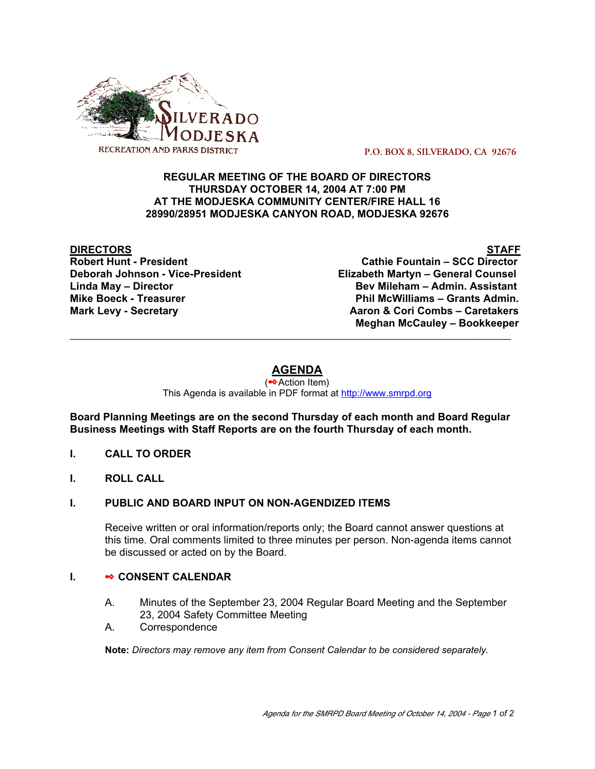

 **P.O. BOX 8, SILVERADO, CA 92676**

## **REGULAR MEETING OF THE BOARD OF DIRECTORS THURSDAY OCTOBER 14, 2004 AT 7:00 PM AT THE MODJESKA COMMUNITY CENTER/FIRE HALL 16 28990/28951 MODJESKA CANYON ROAD, MODJESKA 92676**

**DIRECTORS STAFF**

**Cathie Fountain – SCC Director Deborah Johnson - Vice-President Elizabeth Martyn – General Counsel Linda May – Director Bev Mileham – Admin. Assistant Mike Boeck - Treasurer Phil McWilliams – Grants Admin. Mark Levy - Secretary Combs – Caretakers** Aaron & Cori Combs – Caretakers  **Meghan McCauley – Bookkeeper**

# **AGENDA**

\_\_\_\_\_\_\_\_\_\_\_\_\_\_\_\_\_\_\_\_\_\_\_\_\_\_\_\_\_\_\_\_\_\_\_\_\_\_\_\_\_\_\_\_\_\_\_\_\_\_\_\_\_\_\_\_\_\_\_\_\_\_\_\_\_\_\_\_\_\_\_\_\_\_\_\_\_\_\_\_\_\_\_

(✒Action Item) This Agenda is available in PDF format at http://www.smrpd.org

**Board Planning Meetings are on the second Thursday of each month and Board Regular Business Meetings with Staff Reports are on the fourth Thursday of each month.**

- **I. CALL TO ORDER**
- **I. ROLL CALL**

### **I. PUBLIC AND BOARD INPUT ON NON-AGENDIZED ITEMS**

Receive written or oral information/reports only; the Board cannot answer questions at this time. Oral comments limited to three minutes per person. Non-agenda items cannot be discussed or acted on by the Board.

## **I.** ✒ **CONSENT CALENDAR**

- A. Minutes of the September 23, 2004 Regular Board Meeting and the September 23, 2004 Safety Committee Meeting
- A. Correspondence

**Note:** *Directors may remove any item from Consent Calendar to be considered separately.*